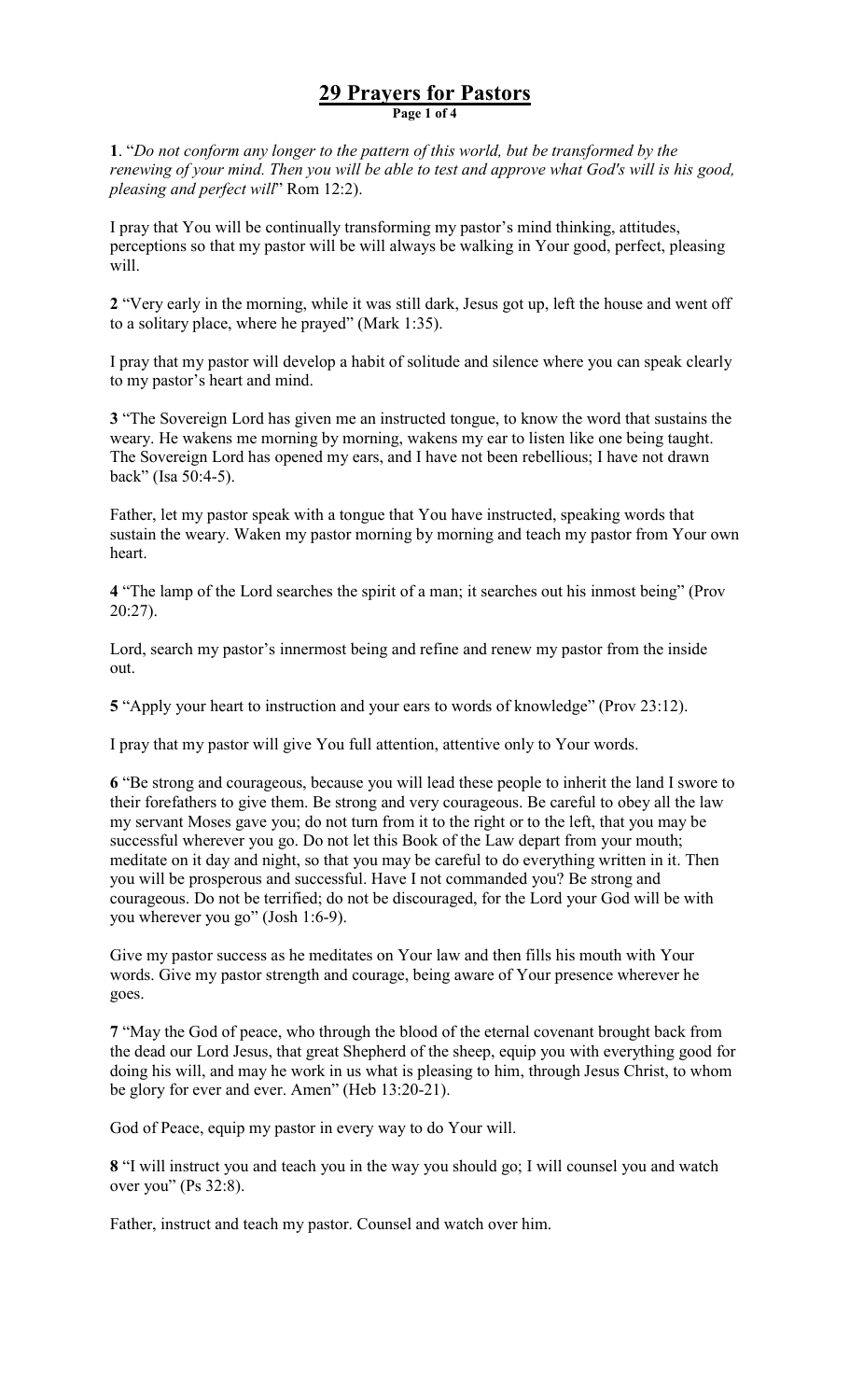## 29 Prayers for Pastors Page 1 of 4

1. "Do not conform any longer to the pattern of this world, but be transformed by the renewing of your mind. Then you will be able to test and approve what God's will is his good, pleasing and perfect will" Rom 12:2).

I pray that You will be continually transforming my pastor's mind thinking, attitudes, perceptions so that my pastor will be will always be walking in Your good, perfect, pleasing will.

2 "Very early in the morning, while it was still dark, Jesus got up, left the house and went off to a solitary place, where he prayed" (Mark 1:35).

I pray that my pastor will develop a habit of solitude and silence where you can speak clearly to my pastor's heart and mind.

3 "The Sovereign Lord has given me an instructed tongue, to know the word that sustains the weary. He wakens me morning by morning, wakens my ear to listen like one being taught. The Sovereign Lord has opened my ears, and I have not been rebellious; I have not drawn back" (Isa 50:4-5).

Father, let my pastor speak with a tongue that You have instructed, speaking words that sustain the weary. Waken my pastor morning by morning and teach my pastor from Your own heart.

4 "The lamp of the Lord searches the spirit of a man; it searches out his inmost being" (Prov 20:27).

Lord, search my pastor's innermost being and refine and renew my pastor from the inside out.

5 "Apply your heart to instruction and your ears to words of knowledge" (Prov 23:12).

I pray that my pastor will give You full attention, attentive only to Your words.

6 "Be strong and courageous, because you will lead these people to inherit the land I swore to their forefathers to give them. Be strong and very courageous. Be careful to obey all the law my servant Moses gave you; do not turn from it to the right or to the left, that you may be successful wherever you go. Do not let this Book of the Law depart from your mouth; meditate on it day and night, so that you may be careful to do everything written in it. Then you will be prosperous and successful. Have I not commanded you? Be strong and courageous. Do not be terrified; do not be discouraged, for the Lord your God will be with you wherever you go" (Josh 1:6-9).

Give my pastor success as he meditates on Your law and then fills his mouth with Your words. Give my pastor strength and courage, being aware of Your presence wherever he goes.

7 "May the God of peace, who through the blood of the eternal covenant brought back from the dead our Lord Jesus, that great Shepherd of the sheep, equip you with everything good for doing his will, and may he work in us what is pleasing to him, through Jesus Christ, to whom be glory for ever and ever. Amen" (Heb 13:20-21).

God of Peace, equip my pastor in every way to do Your will.

8 "I will instruct you and teach you in the way you should go; I will counsel you and watch over you" (Ps 32:8).

Father, instruct and teach my pastor. Counsel and watch over him.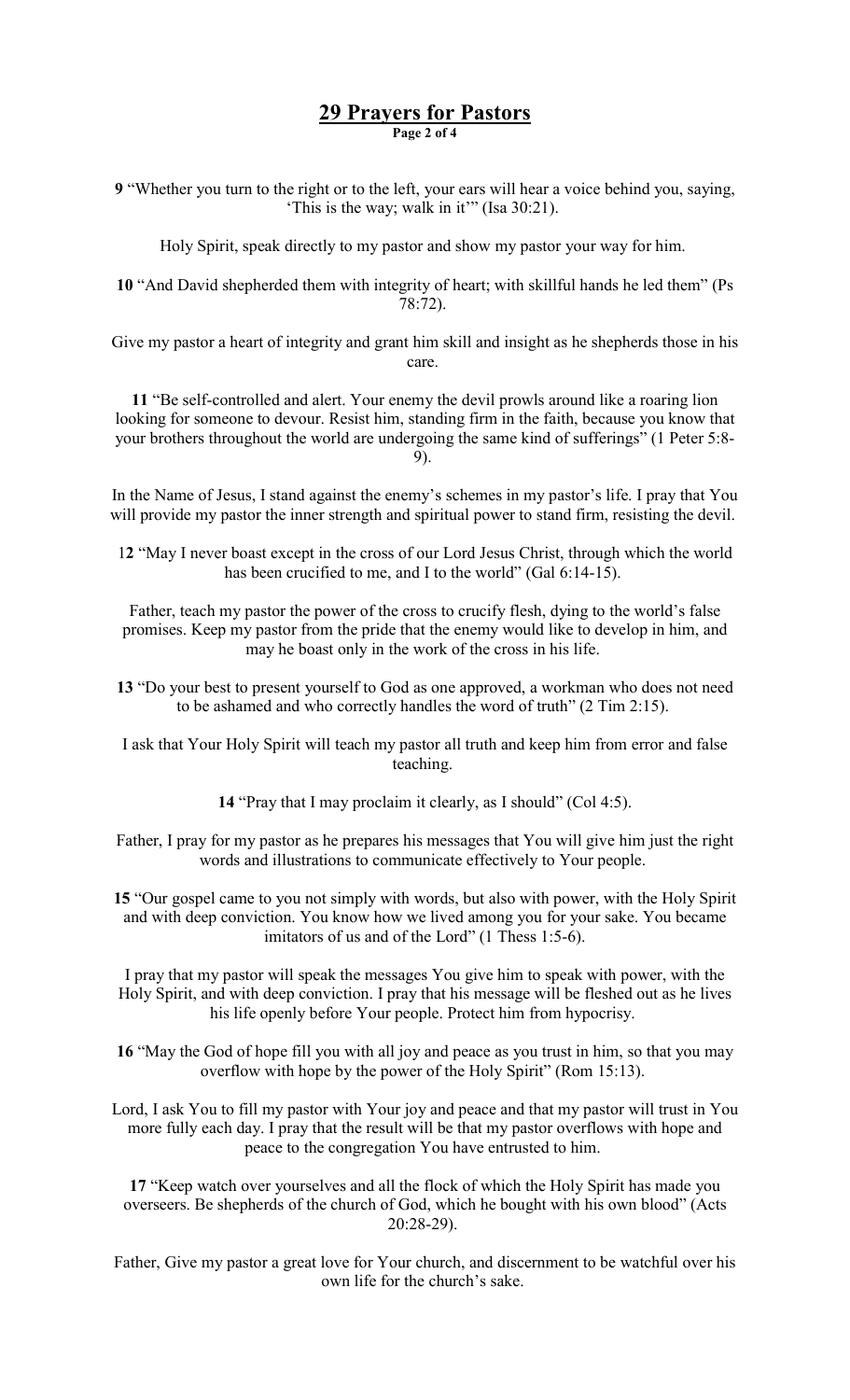## 29 Prayers for Pastors

Page 2 of 4

9 "Whether you turn to the right or to the left, your ears will hear a voice behind you, saying, 'This is the way; walk in it'" (Isa 30:21).

Holy Spirit, speak directly to my pastor and show my pastor your way for him.

10 "And David shepherded them with integrity of heart; with skillful hands he led them" (Ps 78:72).

Give my pastor a heart of integrity and grant him skill and insight as he shepherds those in his care.

11 "Be self-controlled and alert. Your enemy the devil prowls around like a roaring lion looking for someone to devour. Resist him, standing firm in the faith, because you know that your brothers throughout the world are undergoing the same kind of sufferings" (1 Peter 5:8- 9).

In the Name of Jesus, I stand against the enemy's schemes in my pastor's life. I pray that You will provide my pastor the inner strength and spiritual power to stand firm, resisting the devil.

12 "May I never boast except in the cross of our Lord Jesus Christ, through which the world has been crucified to me, and I to the world" (Gal 6:14-15).

Father, teach my pastor the power of the cross to crucify flesh, dying to the world's false promises. Keep my pastor from the pride that the enemy would like to develop in him, and may he boast only in the work of the cross in his life.

13 "Do your best to present yourself to God as one approved, a workman who does not need to be ashamed and who correctly handles the word of truth" (2 Tim 2:15).

I ask that Your Holy Spirit will teach my pastor all truth and keep him from error and false teaching.

14 "Pray that I may proclaim it clearly, as I should" (Col 4:5).

- Father, I pray for my pastor as he prepares his messages that You will give him just the right words and illustrations to communicate effectively to Your people.
- 15 "Our gospel came to you not simply with words, but also with power, with the Holy Spirit and with deep conviction. You know how we lived among you for your sake. You became imitators of us and of the Lord" (1 Thess 1:5-6).

I pray that my pastor will speak the messages You give him to speak with power, with the Holy Spirit, and with deep conviction. I pray that his message will be fleshed out as he lives his life openly before Your people. Protect him from hypocrisy.

16 "May the God of hope fill you with all joy and peace as you trust in him, so that you may overflow with hope by the power of the Holy Spirit" (Rom 15:13).

Lord, I ask You to fill my pastor with Your joy and peace and that my pastor will trust in You more fully each day. I pray that the result will be that my pastor overflows with hope and peace to the congregation You have entrusted to him.

17 "Keep watch over yourselves and all the flock of which the Holy Spirit has made you overseers. Be shepherds of the church of God, which he bought with his own blood" (Acts 20:28-29).

Father, Give my pastor a great love for Your church, and discernment to be watchful over his own life for the church's sake.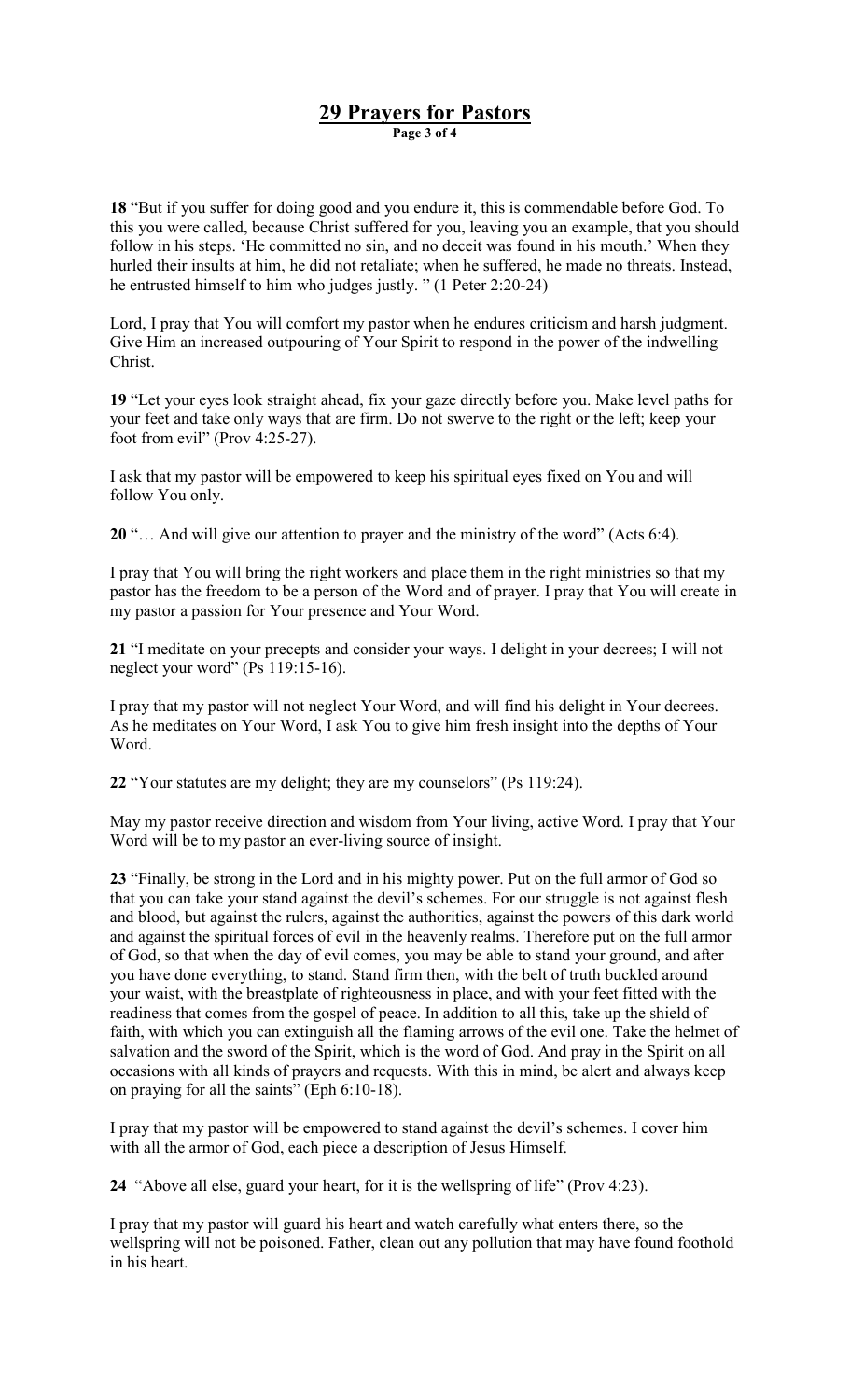## 29 Prayers for Pastors

Page 3 of 4

18 "But if you suffer for doing good and you endure it, this is commendable before God. To this you were called, because Christ suffered for you, leaving you an example, that you should follow in his steps. 'He committed no sin, and no deceit was found in his mouth.' When they hurled their insults at him, he did not retaliate; when he suffered, he made no threats. Instead, he entrusted himself to him who judges justly. " (1 Peter 2:20-24)

Lord, I pray that You will comfort my pastor when he endures criticism and harsh judgment. Give Him an increased outpouring of Your Spirit to respond in the power of the indwelling Christ.

19 "Let your eyes look straight ahead, fix your gaze directly before you. Make level paths for your feet and take only ways that are firm. Do not swerve to the right or the left; keep your foot from evil" (Prov 4:25-27).

I ask that my pastor will be empowered to keep his spiritual eyes fixed on You and will follow You only.

20 "… And will give our attention to prayer and the ministry of the word" (Acts 6:4).

I pray that You will bring the right workers and place them in the right ministries so that my pastor has the freedom to be a person of the Word and of prayer. I pray that You will create in my pastor a passion for Your presence and Your Word.

21 "I meditate on your precepts and consider your ways. I delight in your decrees; I will not neglect your word" (Ps 119:15-16).

I pray that my pastor will not neglect Your Word, and will find his delight in Your decrees. As he meditates on Your Word, I ask You to give him fresh insight into the depths of Your Word.

22 "Your statutes are my delight; they are my counselors" (Ps 119:24).

May my pastor receive direction and wisdom from Your living, active Word. I pray that Your Word will be to my pastor an ever-living source of insight.

23 "Finally, be strong in the Lord and in his mighty power. Put on the full armor of God so that you can take your stand against the devil's schemes. For our struggle is not against flesh and blood, but against the rulers, against the authorities, against the powers of this dark world and against the spiritual forces of evil in the heavenly realms. Therefore put on the full armor of God, so that when the day of evil comes, you may be able to stand your ground, and after you have done everything, to stand. Stand firm then, with the belt of truth buckled around your waist, with the breastplate of righteousness in place, and with your feet fitted with the readiness that comes from the gospel of peace. In addition to all this, take up the shield of faith, with which you can extinguish all the flaming arrows of the evil one. Take the helmet of salvation and the sword of the Spirit, which is the word of God. And pray in the Spirit on all occasions with all kinds of prayers and requests. With this in mind, be alert and always keep on praying for all the saints" (Eph 6:10-18).

I pray that my pastor will be empowered to stand against the devil's schemes. I cover him with all the armor of God, each piece a description of Jesus Himself.

24 "Above all else, guard your heart, for it is the wellspring of life" (Prov 4:23).

I pray that my pastor will guard his heart and watch carefully what enters there, so the wellspring will not be poisoned. Father, clean out any pollution that may have found foothold in his heart.